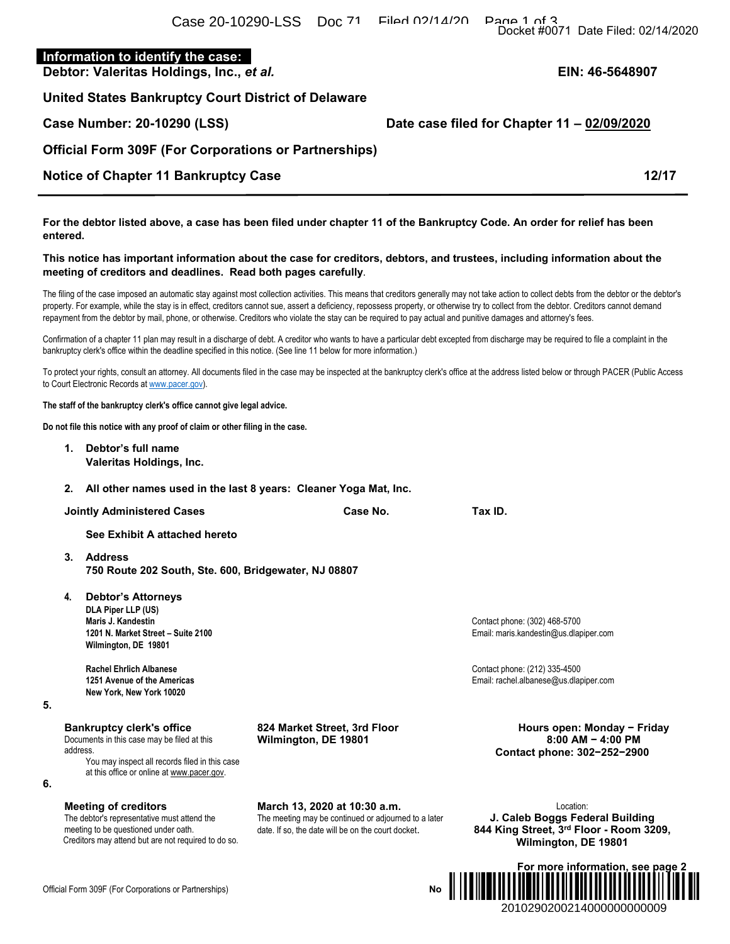# **Information to identify the case:**

**Debtor: Valeritas Holdings, Inc.,** *et al.* **EIN: 46-5648907** 

**United States Bankruptcy Court District of Delaware** 

**Official Form 309F (For Corporations or Partnerships)** 

# **Notice of Chapter 11 Bankruptcy Case 12:47 12/17**

**For the debtor listed above, a case has been filed under chapter 11 of the Bankruptcy Code. An order for relief has been entered.** 

### **This notice has important information about the case for creditors, debtors, and trustees, including information about the meeting of creditors and deadlines. Read both pages carefully**.

The filing of the case imposed an automatic stay against most collection activities. This means that creditors generally may not take action to collect debts from the debtor or the debtor's property. For example, while the stay is in effect, creditors cannot sue, assert a deficiency, repossess property, or otherwise try to collect from the debtor. Creditors cannot demand repayment from the debtor by mail, phone, or otherwise. Creditors who violate the stay can be required to pay actual and punitive damages and attorney's fees.

Confirmation of a chapter 11 plan may result in a discharge of debt. A creditor who wants to have a particular debt excepted from discharge may be required to file a complaint in the bankruptcy clerk's office within the deadline specified in this notice. (See line 11 below for more information.)

To protect your rights, consult an attorney. All documents filed in the case may be inspected at the bankruptcy clerk's office at the address listed below or through PACER (Public Access to Court Electronic Records at www.pacer.gov).

**The staff of the bankruptcy clerk's office cannot give legal advice.** 

**Do not file this notice with any proof of claim or other filing in the case.** 

**1. Debtor's full name Valeritas Holdings, Inc.** 

**2. All other names used in the last 8 years: Cleaner Yoga Mat, Inc.** 

**Jointly Administered Cases Case No.** Case No. Tax ID.

**See Exhibit A attached hereto** 

- **3. Address 750 Route 202 South, Ste. 600, Bridgewater, NJ 08807**
- **4. Debtor's Attorneys DLA Piper LLP (US) Maris J. Kandestin** Contact phone: (302) 468-5700 **Wilmington, DE 19801**

**New York, New York 10020** 

**5.** 

**6.** 

**Bankruptcy clerk's office** 

Documents in this case may be filed at this address. You may inspect all records filed in this case

at this office or online at www.pacer.gov.

#### **Meeting of creditors**

The debtor's representative must attend the meeting to be questioned under oath. Creditors may attend but are not required to do so. **March 13, 2020 at 10:30 a.m.**  The meeting may be continued or adjourned to a later date. If so, the date will be on the court docket.

**824 Market Street, 3rd Floor Wilmington, DE 19801** 

> Location: **J. Caleb Boggs Federal Building 844 King Street, 3rd Floor - Room 3209, Wilmington, DE 19801**



**Official Form 309F (For Corporations or Partnerships)** 

# **Case Number: 20-10290 (LSS) Date case filed for Chapter 11 – 02/09/2020**

**1201 N. Market Street – Suite 2100** Email: maris.kandestin@us.dlapiper.com

**Rachel Ehrlich Albanese**<br>1251 Avenue of the Americas<br>1251 Avenue of the Americas **1251 Avenue of the Americas** Email: rachel.albanese@us.dlapiper.com

> **Hours open: Monday − Friday 8:00 AM − 4:00 PM Contact phone: 302−252−2900**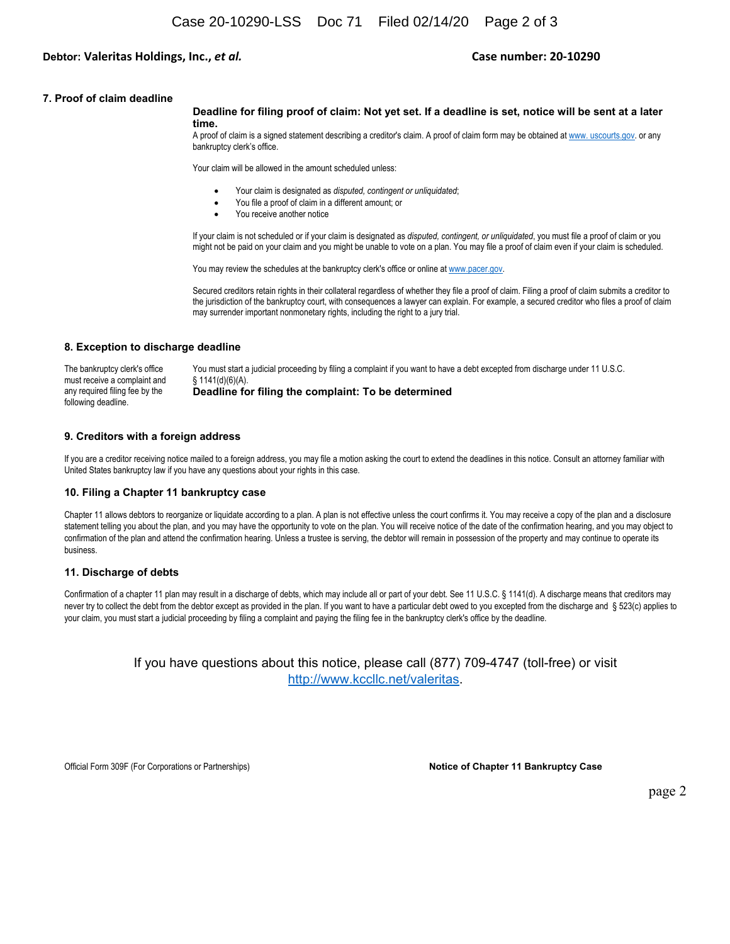## **Debtor: Valeritas Holdings, Inc.,** *et al.*  **Case number: 20‐10290**

#### **7. Proof of claim deadline**

#### **Deadline for filing proof of claim: Not yet set. If a deadline is set, notice will be sent at a later time.**

A proof of claim is a signed statement describing a creditor's claim. A proof of claim form may be obtained at www. uscourts.gov. or any bankruptcy clerk's office.

Your claim will be allowed in the amount scheduled unless:

- Your claim is designated as *disputed, contingent or unliquidated*;
- You file a proof of claim in a different amount; or
- You receive another notice

If your claim is not scheduled or if your claim is designated as *disputed, contingent, or unliquidated*, you must file a proof of claim or you might not be paid on your claim and you might be unable to vote on a plan. You may file a proof of claim even if your claim is scheduled.

You may review the schedules at the bankruptcy clerk's office or online at www.pacer.gov.

Secured creditors retain rights in their collateral regardless of whether they file a proof of claim. Filing a proof of claim submits a creditor to the jurisdiction of the bankruptcy court, with consequences a lawyer can explain. For example, a secured creditor who files a proof of claim may surrender important nonmonetary rights, including the right to a jury trial.

#### **8. Exception to discharge deadline**

The bankruptcy clerk's office must receive a complaint and any required filing fee by the following deadline. You must start a judicial proceeding by filing a complaint if you want to have a debt excepted from discharge under 11 U.S.C. § 1141(d)(6)(A). **Deadline for filing the complaint: To be determined** 

### **9. Creditors with a foreign address**

If you are a creditor receiving notice mailed to a foreign address, you may file a motion asking the court to extend the deadlines in this notice. Consult an attorney familiar with United States bankruptcy law if you have any questions about your rights in this case.

#### **10. Filing a Chapter 11 bankruptcy case**

Chapter 11 allows debtors to reorganize or liquidate according to a plan. A plan is not effective unless the court confirms it. You may receive a copy of the plan and a disclosure statement telling you about the plan, and you may have the opportunity to vote on the plan. You will receive notice of the date of the confirmation hearing, and you may object to confirmation of the plan and attend the confirmation hearing. Unless a trustee is serving, the debtor will remain in possession of the property and may continue to operate its business.

#### **11. Discharge of debts**

Confirmation of a chapter 11 plan may result in a discharge of debts, which may include all or part of your debt. See 11 U.S.C. § 1141(d). A discharge means that creditors may never try to collect the debt from the debtor except as provided in the plan. If you want to have a particular debt owed to you excepted from the discharge and § 523(c) applies to your claim, you must start a judicial proceeding by filing a complaint and paying the filing fee in the bankruptcy clerk's office by the deadline.

> If you have questions about this notice, please call (877) 709-4747 (toll-free) or visit http://www.kccllc.net/valeritas.

Official Form 309F (For Corporations or Partnerships) **Notice of Chapter 11 Bankruptcy Case**